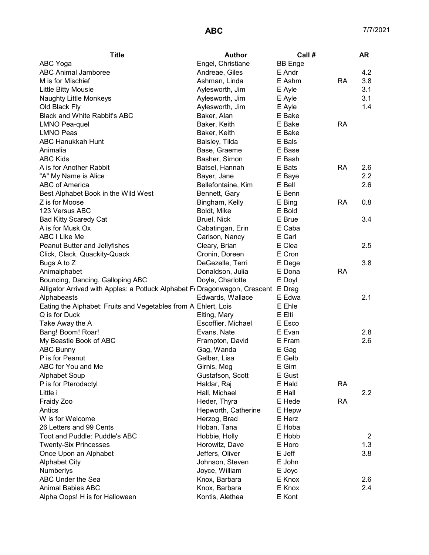| <b>Title</b>                                                                     | Author              | Call#          |           | <b>AR</b> |
|----------------------------------------------------------------------------------|---------------------|----------------|-----------|-----------|
| ABC Yoga                                                                         | Engel, Christiane   | <b>BB</b> Enge |           |           |
| <b>ABC Animal Jamboree</b>                                                       | Andreae, Giles      | E Andr         |           | 4.2       |
| M is for Mischief                                                                | Ashman, Linda       | E Ashm         | <b>RA</b> | 3.8       |
| Little Bitty Mousie                                                              | Aylesworth, Jim     | E Ayle         |           | 3.1       |
| Naughty Little Monkeys                                                           | Aylesworth, Jim     | E Ayle         |           | 3.1       |
| Old Black Fly                                                                    | Aylesworth, Jim     | E Ayle         |           | 1.4       |
| <b>Black and White Rabbit's ABC</b>                                              | Baker, Alan         | E Bake         |           |           |
| <b>LMNO Pea-quel</b>                                                             | Baker, Keith        | E Bake         | <b>RA</b> |           |
| <b>LMNO Peas</b>                                                                 | Baker, Keith        | E Bake         |           |           |
| ABC Hanukkah Hunt                                                                | Balsley, Tilda      | E Bals         |           |           |
| Animalia                                                                         | Base, Graeme        | E Base         |           |           |
| <b>ABC Kids</b>                                                                  | Basher, Simon       | E Bash         |           |           |
| A is for Another Rabbit                                                          | Batsel, Hannah      | E Bats         | <b>RA</b> | 2.6       |
| "A" My Name is Alice                                                             | Bayer, Jane         | E Baye         |           | 2.2       |
| ABC of America                                                                   | Bellefontaine, Kim  | E Bell         |           | 2.6       |
| Best Alphabet Book in the Wild West                                              | Bennett, Gary       | E Benn         |           |           |
| Z is for Moose                                                                   | Bingham, Kelly      | E Bing         | <b>RA</b> | 0.8       |
| 123 Versus ABC                                                                   | Boldt, Mike         | E Bold         |           |           |
| <b>Bad Kitty Scaredy Cat</b>                                                     | Bruel, Nick         | E Brue         |           | 3.4       |
| A is for Musk Ox                                                                 | Cabatingan, Erin    | E Caba         |           |           |
| ABC I Like Me                                                                    | Carlson, Nancy      | E Carl         |           |           |
| Peanut Butter and Jellyfishes                                                    | Cleary, Brian       | E Clea         |           | 2.5       |
| Click, Clack, Quackity-Quack                                                     | Cronin, Doreen      | E Cron         |           |           |
| Bugs A to Z                                                                      | DeGezelle, Terri    | E Dege         |           | 3.8       |
| Animalphabet                                                                     | Donaldson, Julia    | E Dona         | <b>RA</b> |           |
| Bouncing, Dancing, Galloping ABC                                                 | Doyle, Charlotte    | E Doyl         |           |           |
| Alligator Arrived with Apples: a Potluck Alphabet F«Dragonwagon, Crescent E Drag |                     |                |           |           |
| Alphabeasts                                                                      | Edwards, Wallace    | E Edwa         |           | 2.1       |
| Eating the Alphabet: Fruits and Vegetables from A Ehlert, Lois                   |                     | E Ehle         |           |           |
| Q is for Duck                                                                    | Elting, Mary        | E Elti         |           |           |
| Take Away the A                                                                  | Escoffier, Michael  | E Esco         |           |           |
| Bang! Boom! Roar!                                                                | Evans, Nate         | E Evan         |           | 2.8       |
| My Beastie Book of ABC                                                           | Frampton, David     | E Fram         |           | 2.6       |
| <b>ABC Bunny</b>                                                                 | Gag, Wanda          | E Gag          |           |           |
| P is for Peanut                                                                  | Gelber, Lisa        | E Gelb         |           |           |
| ABC for You and Me                                                               | Girnis, Meg         | E Girn         |           |           |
| <b>Alphabet Soup</b>                                                             | Gustafson, Scott    | E Gust         |           |           |
| P is for Pterodactyl                                                             | Haldar, Raj         | E Hald         | <b>RA</b> |           |
| Little i                                                                         | Hall, Michael       | E Hall         |           | 2.2       |
| Fraidy Zoo                                                                       | Heder, Thyra        | E Hede         | RA        |           |
| Antics                                                                           | Hepworth, Catherine | E Hepw         |           |           |
| W is for Welcome                                                                 | Herzog, Brad        | E Herz         |           |           |
| 26 Letters and 99 Cents                                                          | Hoban, Tana         | E Hoba         |           |           |
| Toot and Puddle: Puddle's ABC                                                    | Hobbie, Holly       | E Hobb         |           | 2         |
| <b>Twenty-Six Princesses</b>                                                     | Horowitz, Dave      | E Horo         |           | 1.3       |
| Once Upon an Alphabet                                                            | Jeffers, Oliver     | E Jeff         |           | 3.8       |
| <b>Alphabet City</b>                                                             | Johnson, Steven     | E John         |           |           |
| Numberlys                                                                        | Joyce, William      | E Joyc         |           |           |
| ABC Under the Sea                                                                | Knox, Barbara       | E Knox         |           | 2.6       |
| <b>Animal Babies ABC</b>                                                         | Knox, Barbara       | E Knox         |           | 2.4       |
| Alpha Oops! H is for Halloween                                                   | Kontis, Alethea     | E Kont         |           |           |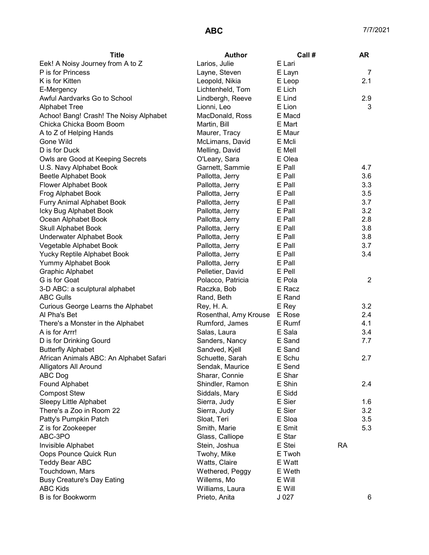| <b>Title</b>                            | <b>Author</b>                | Call # | <b>AR</b>      |
|-----------------------------------------|------------------------------|--------|----------------|
| Eek! A Noisy Journey from A to Z        | Larios, Julie                | E Lari |                |
| P is for Princess                       | Layne, Steven                | E Layn | 7              |
| K is for Kitten                         | Leopold, Nikia               | E Leop | 2.1            |
| E-Mergency                              | Lichtenheld, Tom             | E Lich |                |
| Awful Aardvarks Go to School            | Lindbergh, Reeve             | E Lind | 2.9            |
| <b>Alphabet Tree</b>                    | Lionni, Leo                  | E Lion | 3              |
| Achoo! Bang! Crash! The Noisy Alphabet  | MacDonald, Ross              | E Macd |                |
| Chicka Chicka Boom Boom                 | Martin, Bill                 | E Mart |                |
| A to Z of Helping Hands                 | Maurer, Tracy                | E Maur |                |
| Gone Wild                               | McLimans, David              | E Mcli |                |
| D is for Duck                           | Melling, David               | E Mell |                |
| Owls are Good at Keeping Secrets        | O'Leary, Sara                | E Olea |                |
| U.S. Navy Alphabet Book                 | Garnett, Sammie              | E Pall | 4.7            |
| Beetle Alphabet Book                    | Pallotta, Jerry              | E Pall | 3.6            |
| Flower Alphabet Book                    | Pallotta, Jerry              | E Pall | 3.3            |
| Frog Alphabet Book                      | Pallotta, Jerry              | E Pall | 3.5            |
| Furry Animal Alphabet Book              | Pallotta, Jerry              | E Pall | 3.7            |
| Icky Bug Alphabet Book                  | Pallotta, Jerry              | E Pall | 3.2            |
| Ocean Alphabet Book                     | Pallotta, Jerry              | E Pall | 2.8            |
| <b>Skull Alphabet Book</b>              | Pallotta, Jerry              | E Pall | 3.8            |
| Underwater Alphabet Book                | Pallotta, Jerry              | E Pall | 3.8            |
| Vegetable Alphabet Book                 | Pallotta, Jerry              | E Pall | 3.7            |
| Yucky Reptile Alphabet Book             | Pallotta, Jerry              | E Pall | 3.4            |
| Yummy Alphabet Book                     | Pallotta, Jerry              | E Pall |                |
| <b>Graphic Alphabet</b>                 | Pelletier, David             | E Pell |                |
| G is for Goat                           | Polacco, Patricia            | E Pola | $\overline{2}$ |
| 3-D ABC: a sculptural alphabet          | Raczka, Bob                  | E Racz |                |
| <b>ABC Gulls</b>                        | Rand, Beth                   | E Rand |                |
| Curious George Learns the Alphabet      | Rey, H. A.                   | E Rey  | 3.2            |
| Al Pha's Bet                            | Rosenthal, Amy Krouse E Rose |        | 2.4            |
| There's a Monster in the Alphabet       | Rumford, James               | E Rumf | 4.1            |
| A is for Arrr!                          | Salas, Laura                 | E Sala | 3.4            |
| D is for Drinking Gourd                 | Sanders, Nancy               | E Sand | 7.7            |
| <b>Butterfly Alphabet</b>               | Sandved, Kjell               | E Sand |                |
| African Animals ABC: An Alphabet Safari | Schuette, Sarah              | E Schu | 2.7            |
| Alligators All Around                   | Sendak, Maurice              | E Send |                |
| ABC Dog                                 | Sharar, Connie               | E Shar |                |
| Found Alphabet                          | Shindler, Ramon              | E Shin | 2.4            |
| <b>Compost Stew</b>                     | Siddals, Mary                | E Sidd |                |
| Sleepy Little Alphabet                  | Sierra, Judy                 | E Sier | 1.6            |
| There's a Zoo in Room 22                | Sierra, Judy                 | E Sier | 3.2            |
| Patty's Pumpkin Patch                   | Sloat, Teri                  | E Sloa | 3.5            |
| Z is for Zookeeper                      | Smith, Marie                 | E Smit | 5.3            |
| ABC-3PO                                 | Glass, Calliope              | E Star |                |
| Invisible Alphabet                      | Stein, Joshua                | E Stei | <b>RA</b>      |
| Oops Pounce Quick Run                   | Twohy, Mike                  | E Twoh |                |
| <b>Teddy Bear ABC</b>                   | Watts, Claire                | E Watt |                |
| Touchdown, Mars                         | Wethered, Peggy              | E Weth |                |
| <b>Busy Creature's Day Eating</b>       | Willems, Mo                  | E Will |                |
| <b>ABC Kids</b>                         | Williams, Laura              | E Will |                |
| B is for Bookworm                       | Prieto, Anita                | J 027  | 6              |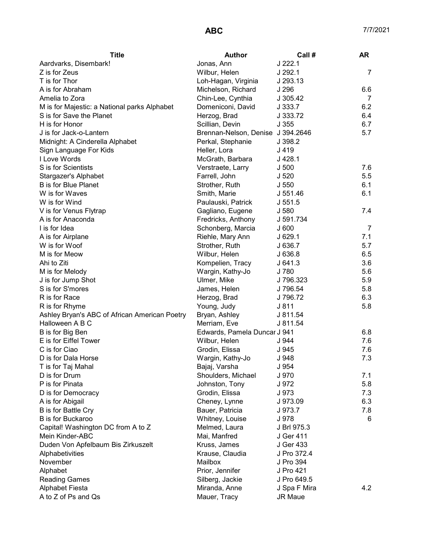| <b>Title</b>                                  | <b>Author</b>                     | Call#            | <b>AR</b> |
|-----------------------------------------------|-----------------------------------|------------------|-----------|
| Aardvarks, Disembark!                         | Jonas, Ann                        | $J$ 222.1        |           |
| Z is for Zeus                                 | Wilbur, Helen                     | J 292.1          | 7         |
| T is for Thor                                 | Loh-Hagan, Virginia               | J 293.13         |           |
| A is for Abraham                              | Michelson, Richard                | J 296            | 6.6       |
| Amelia to Zora                                | Chin-Lee, Cynthia                 | J 305.42         | 7         |
| M is for Majestic: a National parks Alphabet  | Domeniconi, David                 | J333.7           | 6.2       |
| S is for Save the Planet                      | Herzog, Brad                      | J 333.72         | 6.4       |
| H is for Honor                                | Scillian, Devin                   | J355             | 6.7       |
| J is for Jack-o-Lantern                       | Brennan-Nelson, Denise J 394.2646 |                  | 5.7       |
| Midnight: A Cinderella Alphabet               | Perkal, Stephanie                 | J 398.2          |           |
| Sign Language For Kids                        | Heller, Lora                      | J 419            |           |
| I Love Words                                  | McGrath, Barbara                  | $J$ 428.1        |           |
| S is for Scientists                           | Verstraete, Larry                 | J <sub>500</sub> | 7.6       |
| Stargazer's Alphabet                          | Farrell, John                     | J 520            | 5.5       |
| <b>B</b> is for Blue Planet                   | Strother, Ruth                    | J 550            | 6.1       |
| W is for Waves                                | Smith, Marie                      | J 551.46         | 6.1       |
| W is for Wind                                 | Paulauski, Patrick                | J.551.5          |           |
| V is for Venus Flytrap                        | Gagliano, Eugene                  | J 580            | 7.4       |
| A is for Anaconda                             | Fredricks, Anthony                | J 591.734        |           |
| I is for Idea                                 | Schonberg, Marcia                 | J600             | 7         |
| A is for Airplane                             | Riehle, Mary Ann                  | J629.1           | 7.1       |
| W is for Woof                                 | Strother, Ruth                    | J 636.7          | 5.7       |
| M is for Meow                                 | Wilbur, Helen                     | J 636.8          | 6.5       |
| Ahi to Ziti                                   | Kompelien, Tracy                  | J641.3           | 3.6       |
| M is for Melody                               | Wargin, Kathy-Jo                  | J 780            | 5.6       |
| J is for Jump Shot                            | Ulmer, Mike                       | J 796.323        | 5.9       |
| S is for S'mores                              | James, Helen                      | J 796.54         | 5.8       |
| R is for Race                                 | Herzog, Brad                      | J 796.72         | 6.3       |
| R is for Rhyme                                | Young, Judy                       | J 811            | 5.8       |
| Ashley Bryan's ABC of African American Poetry | Bryan, Ashley                     | J 811.54         |           |
| Halloween A B C                               | Merriam, Eve                      | J 811.54         |           |
| B is for Big Ben                              | Edwards, Pamela Duncar J 941      |                  | 6.8       |
| E is for Eiffel Tower                         | Wilbur, Helen                     | J 944            | 7.6       |
| C is for Ciao                                 | Grodin, Elissa                    | J 945            | 7.6       |
| D is for Dala Horse                           | Wargin, Kathy-Jo                  | J 948            | 7.3       |
| T is for Taj Mahal                            | Bajaj, Varsha                     | J 954            |           |
| D is for Drum                                 | Shoulders, Michael                | J 970            | 7.1       |
| P is for Pinata                               | Johnston, Tony                    | J 972            | 5.8       |
| D is for Democracy                            | Grodin, Elissa                    | J 973            | 7.3       |
| A is for Abigail                              | Cheney, Lynne                     | J 973.09         | 6.3       |
| <b>B</b> is for Battle Cry                    | Bauer, Patricia                   | J 973.7          | 7.8       |
| B is for Buckaroo                             | Whitney, Louise                   | J 978            | 6         |
| Capital! Washington DC from A to Z            | Melmed, Laura                     | J Brl 975.3      |           |
| Mein Kinder-ABC                               | Mai, Manfred                      | J Ger 411        |           |
| Duden Von Apfelbaum Bis Zirkuszelt            | Kruss, James                      | J Ger 433        |           |
| Alphabetivities                               | Krause, Claudia                   | J Pro 372.4      |           |
| November                                      | Mailbox                           | J Pro 394        |           |
| Alphabet                                      | Prior, Jennifer                   | J Pro 421        |           |
| <b>Reading Games</b>                          | Silberg, Jackie                   | J Pro 649.5      |           |
| <b>Alphabet Fiesta</b>                        | Miranda, Anne                     | J Spa F Mira     | 4.2       |
| A to Z of Ps and Qs                           | Mauer, Tracy                      | <b>JR Maue</b>   |           |